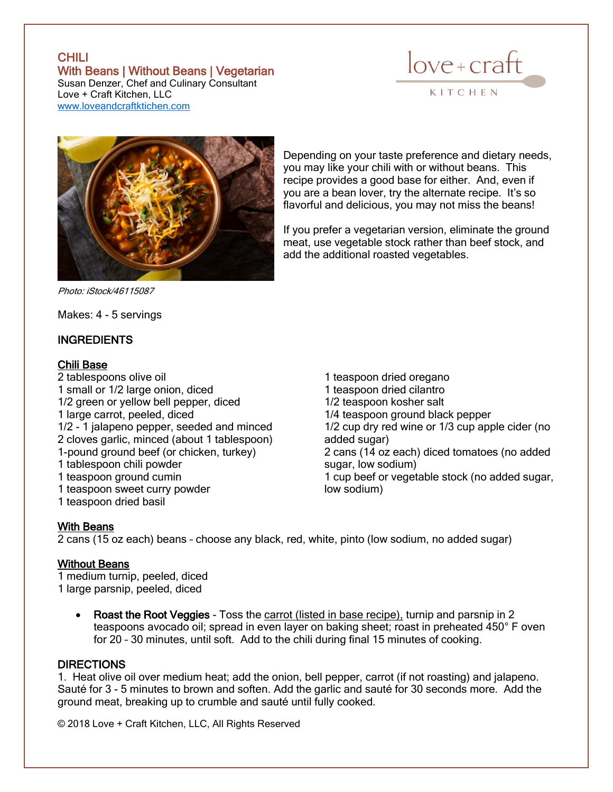# **CHILI** With Beans | Without Beans | Vegetarian



Susan Denzer, Chef and Culinary Consultant Love + Craft Kitchen, LLC [www.loveandcraftktichen.com](http://www.loveandcraftktichen.com/)



Depending on your taste preference and dietary needs, you may like your chili with or without beans. This recipe provides a good base for either. And, even if you are a bean lover, try the alternate recipe. It's so flavorful and delicious, you may not miss the beans!

If you prefer a vegetarian version, eliminate the ground meat, use vegetable stock rather than beef stock, and add the additional roasted vegetables.

Photo: iStock/46115087

Makes: 4 - 5 servings

## INGREDIENTS

## Chili Base

2 tablespoons olive oil 1 small or 1/2 large onion, diced 1/2 green or yellow bell pepper, diced 1 large carrot, peeled, diced 1/2 - 1 jalapeno pepper, seeded and minced 2 cloves garlic, minced (about 1 tablespoon) 1-pound ground beef (or chicken, turkey) 1 tablespoon chili powder 1 teaspoon ground cumin 1 teaspoon sweet curry powder 1 teaspoon dried basil

1 teaspoon dried oregano 1 teaspoon dried cilantro 1/2 teaspoon kosher salt 1/4 teaspoon ground black pepper 1/2 cup dry red wine or 1/3 cup apple cider (no added sugar) 2 cans (14 oz each) diced tomatoes (no added sugar, low sodium) 1 cup beef or vegetable stock (no added sugar, low sodium)

## With Beans

2 cans (15 oz each) beans – choose any black, red, white, pinto (low sodium, no added sugar)

#### Without Beans

1 medium turnip, peeled, diced 1 large parsnip, peeled, diced

> • Roast the Root Veggies - Toss the carrot (listed in base recipe), turnip and parsnip in 2 teaspoons avocado oil; spread in even layer on baking sheet; roast in preheated 450° F oven for 20 – 30 minutes, until soft. Add to the chili during final 15 minutes of cooking.

## **DIRECTIONS**

1. Heat olive oil over medium heat; add the onion, bell pepper, carrot (if not roasting) and jalapeno. Sauté for 3 - 5 minutes to brown and soften. Add the garlic and sauté for 30 seconds more. Add the ground meat, breaking up to crumble and sauté until fully cooked.

© 2018 Love + Craft Kitchen, LLC, All Rights Reserved